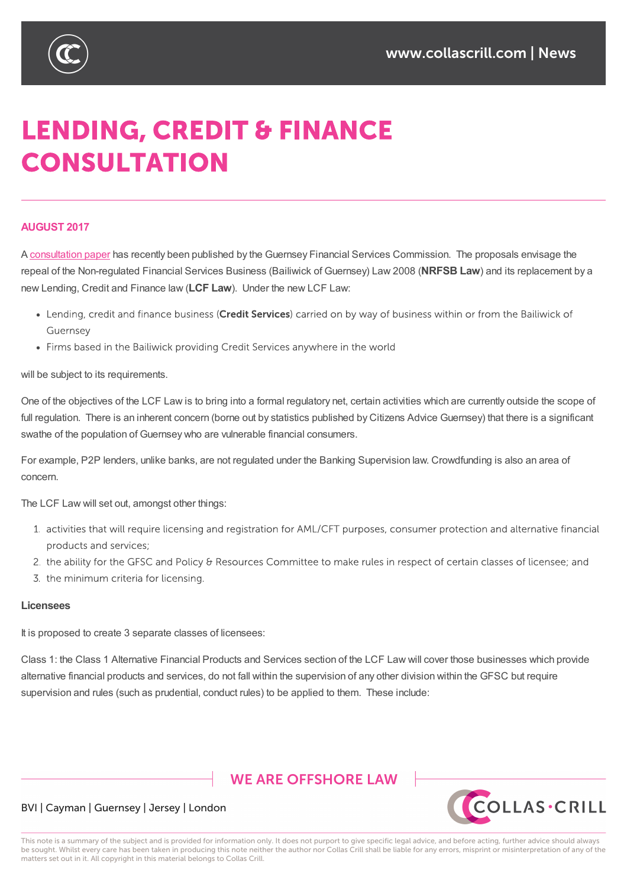

# **LENDING, CREDIT & FINANCE CONSULTATION**

### **AUGUST 2017**

A consultation paper has recently been published by the Guernsey Financial Services Commission. The proposals envisage the repeal of the Non-regulated Financial Services Business (Bailiwick of Guernsey) Law 2008 (**NRFSB Law**) and its replacement by a new Lending, Credit and Finance law (**LCF Law**). Under the new LCF Law:

- Lending, credit and finance business (Credit Services) carried on by way of business within or from the Bailiwick of Guernsey
- Firms based in the Bailiwick providing Credit Services anywhere in the world

will be subject to its requirements.

One of the objectives of the LCF Law is to bring into a formal regulatory net, certain activities which are currently outside the scope of full regulation. There is an inherent concern (borne out by statistics published by Citizens Advice Guernsey) that there is a significant swathe of the population of Guernsey who are vulnerable financial consumers.

For example, P2P lenders, unlike banks, are not regulated under the Banking Supervision law. Crowdfunding is also an area of concern.

The LCF Law will set out, amongst other things:

- 1. activities that will require licensing and registration for AML/CFT purposes, consumer protection and alternative financial products and services;
- 2. the ability for the GFSC and Policy & Resources Committee to make rules in respect of certain classes of licensee; and
- 3. the minimum criteria for licensing.

#### **Licensees**

It is proposed to create 3 separate classes of licensees:

Class 1: the Class 1 Alternative Financial Products and Services section of the LCF Law will cover those businesses which provide alternative financial products and services, do not fall within the supervision of any other division within the GFSC but require supervision and rules (such as prudential, conduct rules) to be applied to them. These include:

## **WE ARE OFFSHORE LAW**



#### BVI | Cayman | Guernsey | Jersey | London

This note is a summary of the subject and is provided for information only. It does not purport to give specific legal advice, and before acting, further advice should always be sought. Whilst every care has been taken in producing this note neither the author nor Collas Crill shall be liable for any errors, misprint or misinterpretation of any of the matters set out in it. All copyright in this material belongs to Collas Crill.